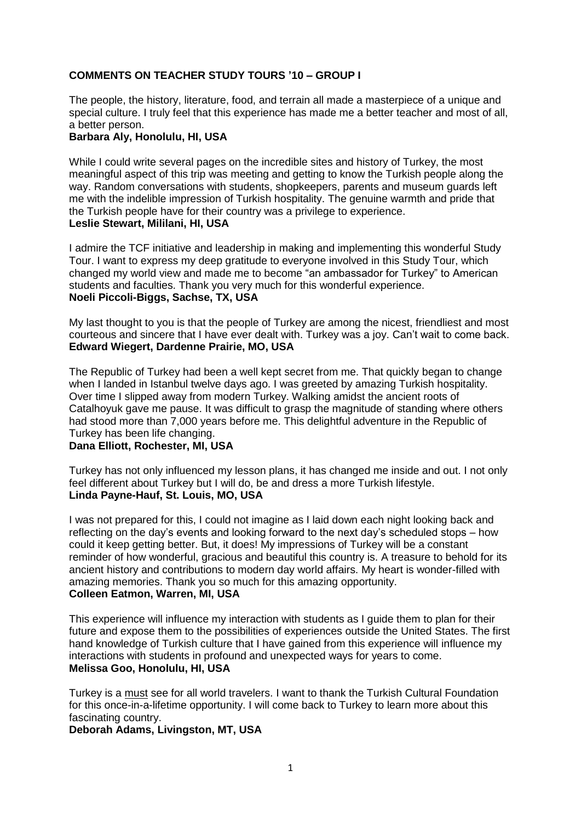# **COMMENTS ON TEACHER STUDY TOURS '10 – GROUP I**

The people, the history, literature, food, and terrain all made a masterpiece of a unique and special culture. I truly feel that this experience has made me a better teacher and most of all, a better person.

#### **Barbara Aly, Honolulu, HI, USA**

While I could write several pages on the incredible sites and history of Turkey, the most meaningful aspect of this trip was meeting and getting to know the Turkish people along the way. Random conversations with students, shopkeepers, parents and museum guards left me with the indelible impression of Turkish hospitality. The genuine warmth and pride that the Turkish people have for their country was a privilege to experience. **Leslie Stewart, Mililani, HI, USA**

I admire the TCF initiative and leadership in making and implementing this wonderful Study Tour. I want to express my deep gratitude to everyone involved in this Study Tour, which changed my world view and made me to become "an ambassador for Turkey" to American students and faculties. Thank you very much for this wonderful experience. **Noeli Piccoli-Biggs, Sachse, TX, USA**

My last thought to you is that the people of Turkey are among the nicest, friendliest and most courteous and sincere that I have ever dealt with. Turkey was a joy. Can't wait to come back. **Edward Wiegert, Dardenne Prairie, MO, USA**

The Republic of Turkey had been a well kept secret from me. That quickly began to change when I landed in Istanbul twelve days ago. I was greeted by amazing Turkish hospitality. Over time I slipped away from modern Turkey. Walking amidst the ancient roots of Catalhoyuk gave me pause. It was difficult to grasp the magnitude of standing where others had stood more than 7,000 years before me. This delightful adventure in the Republic of Turkey has been life changing.

#### **Dana Elliott, Rochester, MI, USA**

Turkey has not only influenced my lesson plans, it has changed me inside and out. I not only feel different about Turkey but I will do, be and dress a more Turkish lifestyle. **Linda Payne-Hauf, St. Louis, MO, USA**

I was not prepared for this, I could not imagine as I laid down each night looking back and reflecting on the day's events and looking forward to the next day's scheduled stops – how could it keep getting better. But, it does! My impressions of Turkey will be a constant reminder of how wonderful, gracious and beautiful this country is. A treasure to behold for its ancient history and contributions to modern day world affairs. My heart is wonder-filled with amazing memories. Thank you so much for this amazing opportunity. **Colleen Eatmon, Warren, MI, USA**

This experience will influence my interaction with students as I guide them to plan for their future and expose them to the possibilities of experiences outside the United States. The first hand knowledge of Turkish culture that I have gained from this experience will influence my interactions with students in profound and unexpected ways for years to come. **Melissa Goo, Honolulu, HI, USA**

Turkey is a must see for all world travelers. I want to thank the Turkish Cultural Foundation for this once-in-a-lifetime opportunity. I will come back to Turkey to learn more about this fascinating country.

**Deborah Adams, Livingston, MT, USA**